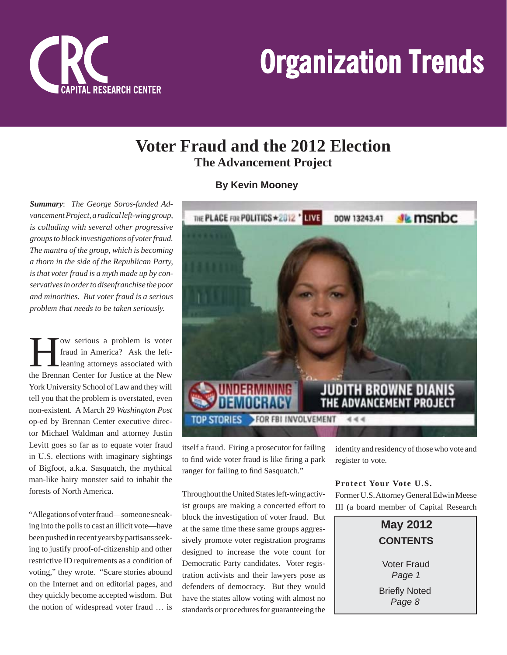

## **Voter Fraud and the 2012 Election The Advancement Project**

**By Kevin Mooney**

*Summary*: *The George Soros-funded Advancement Project, a radical left-wing group, is colluding with several other progressive groups to block investigations of voter fraud. The mantra of the group, which is becoming a thorn in the side of the Republican Party, is that voter fraud is a myth made up by conservatives in order to disenfranchise the poor and minorities. But voter fraud is a serious problem that needs to be taken seriously.*

**How serious a problem is voter**<br>fraud in America? Ask the left-<br>leaning attorneys associated with fraud in America? Ask the leftleaning attorneys associated with the Brennan Center for Justice at the New York University School of Law and they will tell you that the problem is overstated, even non-existent. A March 29 *Washington Post* op-ed by Brennan Center executive director Michael Waldman and attorney Justin Levitt goes so far as to equate voter fraud in U.S. elections with imaginary sightings of Bigfoot, a.k.a. Sasquatch, the mythical man-like hairy monster said to inhabit the forests of North America.

"Allegations of voter fraud—someone sneaking into the polls to cast an illicit vote—have been pushed in recent years by partisans seeking to justify proof-of-citizenship and other restrictive ID requirements as a condition of voting," they wrote. "Scare stories abound on the Internet and on editorial pages, and they quickly become accepted wisdom. But the notion of widespread voter fraud … is



itself a fraud. Firing a prosecutor for failing to find wide voter fraud is like firing a park ranger for failing to find Sasquatch."

Throughout the United States left-wing activist groups are making a concerted effort to block the investigation of voter fraud. But at the same time these same groups aggressively promote voter registration programs designed to increase the vote count for Democratic Party candidates. Voter registration activists and their lawyers pose as defenders of democracy. But they would have the states allow voting with almost no standards or procedures for guaranteeing the

identity and residency of those who vote and register to vote.

### **Protect Your Vote U.S.**

Former U.S. Attorney General Edwin Meese III (a board member of Capital Research



*Page 1* **Briefly Noted** 

*Page 8*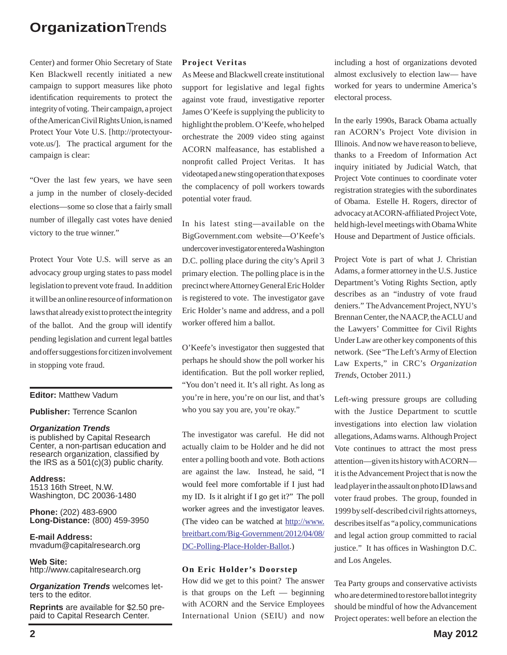Center) and former Ohio Secretary of State Ken Blackwell recently initiated a new campaign to support measures like photo identification requirements to protect the integrity of voting. Their campaign, a project of the American Civil Rights Union, is named Protect Your Vote U.S. [http://protectyourvote.us/]. The practical argument for the campaign is clear:

"Over the last few years, we have seen a jump in the number of closely-decided elections—some so close that a fairly small number of illegally cast votes have denied victory to the true winner."

Protect Your Vote U.S. will serve as an advocacy group urging states to pass model legislation to prevent vote fraud. In addition it will be an online resource of information on laws that already exist to protect the integrity of the ballot. And the group will identify pending legislation and current legal battles and offer suggestions for citizen involvement in stopping vote fraud.

#### **Editor:** Matthew Vadum

**Publisher:** Terrence Scanlon

#### *Organization Trends*

is published by Capital Research Center, a non-partisan education and research organization, classified by the IRS as a 501(c)(3) public charity.

**Address:** 1513 16th Street, N.W. Washington, DC 20036-1480

**Phone:** (202) 483-6900 **Long-Distance:** (800) 459-3950

**E-mail Address:** mvadum@capitalresearch.org

**Web Site:** http://www.capitalresearch.org

*Organization Trends* welcomes letters to the editor.

**Reprints** are available for \$2.50 prepaid to Capital Research Center.

#### **Project Veritas**

As Meese and Blackwell create institutional support for legislative and legal fights against vote fraud, investigative reporter James O'Keefe is supplying the publicity to highlight the problem. O'Keefe, who helped orchestrate the 2009 video sting against ACORN malfeasance, has established a nonprofit called Project Veritas. It has videotaped a new sting operation that exposes the complacency of poll workers towards potential voter fraud.

In his latest sting—available on the BigGovernment.com website—O'Keefe's undercover investigator entered a Washington D.C. polling place during the city's April 3 primary election. The polling place is in the precinct where Attorney General Eric Holder is registered to vote. The investigator gave Eric Holder's name and address, and a poll worker offered him a ballot.

O'Keefe's investigator then suggested that perhaps he should show the poll worker his identification. But the poll worker replied, "You don't need it. It's all right. As long as you're in here, you're on our list, and that's who you say you are, you're okay."

The investigator was careful. He did not actually claim to be Holder and he did not enter a polling booth and vote. Both actions are against the law. Instead, he said, "I would feel more comfortable if I just had my ID. Is it alright if I go get it?" The poll worker agrees and the investigator leaves. (The video can be watched at http://www. breitbart.com/Big-Government/2012/04/08/ DC-Polling-Place-Holder-Ballot.)

#### **On Eric Holder's Doorstep**

How did we get to this point? The answer is that groups on the Left — beginning with ACORN and the Service Employees International Union (SEIU) and now including a host of organizations devoted almost exclusively to election law— have worked for years to undermine America's electoral process.

In the early 1990s, Barack Obama actually ran ACORN's Project Vote division in Illinois. And now we have reason to believe, thanks to a Freedom of Information Act inquiry initiated by Judicial Watch, that Project Vote continues to coordinate voter registration strategies with the subordinates of Obama. Estelle H. Rogers, director of advocacy at ACORN-affiliated Project Vote, held high-level meetings with Obama White House and Department of Justice officials.

Project Vote is part of what J. Christian Adams, a former attorney in the U.S. Justice Department's Voting Rights Section, aptly describes as an "industry of vote fraud deniers." The Advancement Project, NYU's Brennan Center, the NAACP, the ACLU and the Lawyers' Committee for Civil Rights Under Law are other key components of this network. (See "The Left's Army of Election Law Experts," in CRC's *Organization Trends*, October 2011.)

Left-wing pressure groups are colluding with the Justice Department to scuttle investigations into election law violation allegations, Adams warns. Although Project Vote continues to attract the most press attention—given its history with ACORN it is the Advancement Project that is now the lead player in the assault on photo ID laws and voter fraud probes. The group, founded in 1999 by self-described civil rights attorneys, describes itself as "a policy, communications and legal action group committed to racial justice." It has offices in Washington D.C. and Los Angeles.

Tea Party groups and conservative activists who are determined to restore ballot integrity should be mindful of how the Advancement Project operates: well before an election the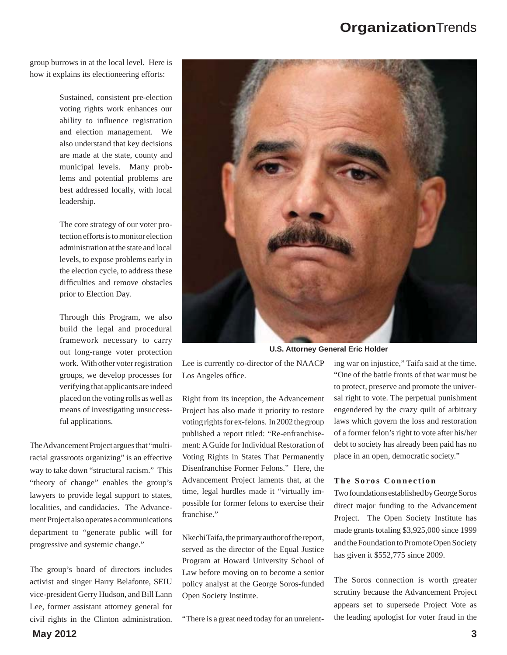group burrows in at the local level. Here is how it explains its electioneering efforts:

> Sustained, consistent pre-election voting rights work enhances our ability to influence registration and election management. We also understand that key decisions are made at the state, county and municipal levels. Many problems and potential problems are best addressed locally, with local leadership.

> The core strategy of our voter protection efforts is to monitor election administration at the state and local levels, to expose problems early in the election cycle, to address these difficulties and remove obstacles prior to Election Day.

> Through this Program, we also build the legal and procedural framework necessary to carry out long-range voter protection work. With other voter registration groups, we develop processes for verifying that applicants are indeed placed on the voting rolls as well as means of investigating unsuccessful applications.

The Advancement Project argues that "multiracial grassroots organizing" is an effective way to take down "structural racism." This "theory of change" enables the group's lawyers to provide legal support to states, localities, and candidacies. The Advancement Project also operates a communications department to "generate public will for progressive and systemic change."

The group's board of directors includes activist and singer Harry Belafonte, SEIU vice-president Gerry Hudson, and Bill Lann Lee, former assistant attorney general for civil rights in the Clinton administration.



**U.S. Attorney General Eric Holder**

Lee is currently co-director of the NAACP Los Angeles office.

Right from its inception, the Advancement Project has also made it priority to restore voting rights for ex-felons. In 2002 the group published a report titled: "Re-enfranchisement: A Guide for Individual Restoration of Voting Rights in States That Permanently Disenfranchise Former Felons." Here, the Advancement Project laments that, at the time, legal hurdles made it "virtually impossible for former felons to exercise their franchise."

Nkechi Taifa, the primary author of the report, served as the director of the Equal Justice Program at Howard University School of Law before moving on to become a senior policy analyst at the George Soros-funded Open Society Institute.

"There is a great need today for an unrelent-

ing war on injustice," Taifa said at the time. "One of the battle fronts of that war must be to protect, preserve and promote the universal right to vote. The perpetual punishment engendered by the crazy quilt of arbitrary laws which govern the loss and restoration of a former felon's right to vote after his/her debt to society has already been paid has no place in an open, democratic society."

#### **The Soros Connection**

Two foundations established by George Soros direct major funding to the Advancement Project. The Open Society Institute has made grants totaling \$3,925,000 since 1999 and the Foundation to Promote Open Society has given it \$552,775 since 2009.

The Soros connection is worth greater scrutiny because the Advancement Project appears set to supersede Project Vote as the leading apologist for voter fraud in the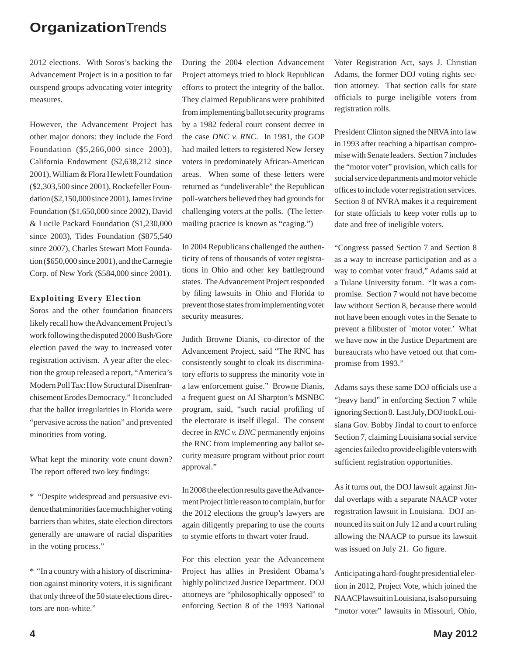2012 elections. With Soros's backing the Advancement Project is in a position to far outspend groups advocating voter integrity measures.

However, the Advancement Project has other major donors: they include the Ford Foundation (\$5,266,000 since 2003), California Endowment (\$2,638,212 since 2001), William & Flora Hewlett Foundation (\$2,303,500 since 2001), Rockefeller Foundation (\$2,150,000 since 2001), James Irvine Foundation (\$1,650,000 since 2002), David & Lucile Packard Foundation (\$1,230,000 since 2003), Tides Foundation (\$875,540 since 2007), Charles Stewart Mott Foundation (\$650,000 since 2001), and the Carnegie Corp. of New York (\$584,000 since 2001).

#### **Exploiting Every Election**

Soros and the other foundation financers likely recall how the Advancement Project's work following the disputed 2000 Bush/Gore election paved the way to increased voter registration activism. A year after the election the group released a report, "America's Modern Poll Tax: How Structural Disenfranchisement Erodes Democracy." It concluded that the ballot irregularities in Florida were "pervasive across the nation" and prevented minorities from voting.

What kept the minority vote count down? The report offered two key findings:

\* "Despite widespread and persuasive evidence that minorities face much higher voting barriers than whites, state election directors generally are unaware of racial disparities in the voting process."

\* "In a country with a history of discrimination against minority voters, it is significant that only three of the 50 state elections directors are non-white."

During the 2004 election Advancement Project attorneys tried to block Republican efforts to protect the integrity of the ballot. They claimed Republicans were prohibited from implementing ballot security programs by a 1982 federal court consent decree in the case *DNC v. RNC*. In 1981, the GOP had mailed letters to registered New Jersey voters in predominately African-American areas. When some of these letters were returned as "undeliverable" the Republican poll-watchers believed they had grounds for challenging voters at the polls. (The lettermailing practice is known as "caging.")

In 2004 Republicans challenged the authenticity of tens of thousands of voter registrations in Ohio and other key battleground states. The Advancement Project responded by filing lawsuits in Ohio and Florida to prevent those states from implementing voter security measures.

Judith Browne Dianis, co-director of the Advancement Project, said "The RNC has consistently sought to cloak its discriminatory efforts to suppress the minority vote in a law enforcement guise." Browne Dianis, a frequent guest on Al Sharpton's MSNBC program, said, "such racial profiling of the electorate is itself illegal. The consent decree in *RNC v. DNC* permanently enjoins the RNC from implementing any ballot security measure program without prior court approval."

In 2008 the election results gave the Advancement Project little reason to complain, but for the 2012 elections the group's lawyers are again diligently preparing to use the courts to stymie efforts to thwart voter fraud.

For this election year the Advancement Project has allies in President Obama's highly politicized Justice Department. DOJ attorneys are "philosophically opposed" to enforcing Section 8 of the 1993 National Voter Registration Act, says J. Christian Adams, the former DOJ voting rights section attorney. That section calls for state officials to purge ineligible voters from registration rolls.

President Clinton signed the NRVA into law in 1993 after reaching a bipartisan compromise with Senate leaders. Section 7 includes the "motor voter" provision, which calls for social service departments and motor vehicle offices to include voter registration services. Section 8 of NVRA makes it a requirement for state officials to keep voter rolls up to date and free of ineligible voters.

"Congress passed Section 7 and Section 8 as a way to increase participation and as a way to combat voter fraud," Adams said at a Tulane University forum. "It was a compromise. Section 7 would not have become law without Section 8, because there would not have been enough votes in the Senate to prevent a filibuster of `motor voter.' What we have now in the Justice Department are bureaucrats who have vetoed out that compromise from 1993."

Adams says these same DOJ officials use a "heavy hand" in enforcing Section 7 while ignoring Section 8. Last July, DOJ took Louisiana Gov. Bobby Jindal to court to enforce Section 7, claiming Louisiana social service agencies failed to provide eligible voters with sufficient registration opportunities.

As it turns out, the DOJ lawsuit against Jindal overlaps with a separate NAACP voter registration lawsuit in Louisiana. DOJ announced its suit on July 12 and a court ruling allowing the NAACP to pursue its lawsuit was issued on July 21. Go figure.

Anticipating a hard-fought presidential election in 2012, Project Vote, which joined the NAACP lawsuit in Louisiana, is also pursuing "motor voter" lawsuits in Missouri, Ohio,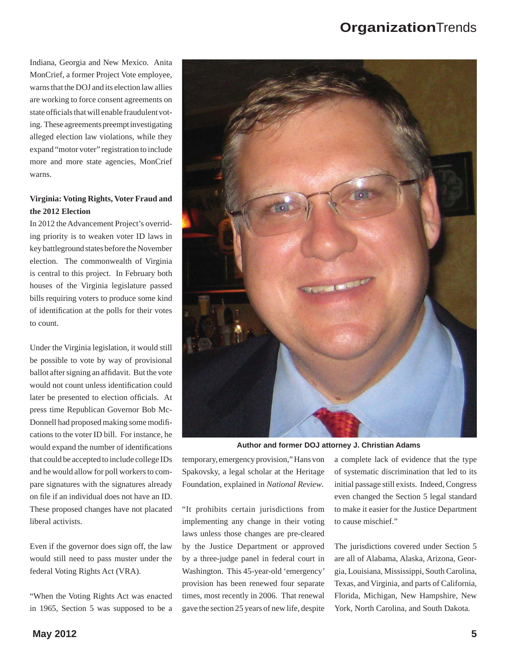Indiana, Georgia and New Mexico. Anita MonCrief, a former Project Vote employee, warns that the DOJ and its election law allies are working to force consent agreements on state officials that will enable fraudulent voting. These agreements preempt investigating alleged election law violations, while they expand "motor voter" registration to include more and more state agencies, MonCrief warns.

## **Virginia: Voting Rights, Voter Fraud and the 2012 Election**

In 2012 the Advancement Project's overriding priority is to weaken voter ID laws in key battleground states before the November election. The commonwealth of Virginia is central to this project. In February both houses of the Virginia legislature passed bills requiring voters to produce some kind of identification at the polls for their votes to count.

Under the Virginia legislation, it would still be possible to vote by way of provisional ballot after signing an affidavit. But the vote would not count unless identification could later be presented to election officials. At press time Republican Governor Bob Mc-Donnell had proposed making some modifi cations to the voter ID bill. For instance, he would expand the number of identifications that could be accepted to include college IDs and he would allow for poll workers to compare signatures with the signatures already on file if an individual does not have an ID. These proposed changes have not placated liberal activists.

Even if the governor does sign off, the law would still need to pass muster under the federal Voting Rights Act (VRA).

"When the Voting Rights Act was enacted in 1965, Section 5 was supposed to be a



**Author and former DOJ attorney J. Christian Adams**

temporary, emergency provision," Hans von Spakovsky, a legal scholar at the Heritage Foundation, explained in *National Review*.

"It prohibits certain jurisdictions from implementing any change in their voting laws unless those changes are pre-cleared by the Justice Department or approved by a three-judge panel in federal court in Washington. This 45-year-old 'emergency' provision has been renewed four separate times, most recently in 2006. That renewal gave the section 25 years of new life, despite a complete lack of evidence that the type of systematic discrimination that led to its initial passage still exists. Indeed, Congress even changed the Section 5 legal standard to make it easier for the Justice Department to cause mischief."

The jurisdictions covered under Section 5 are all of Alabama, Alaska, Arizona, Georgia, Louisiana, Mississippi, South Carolina, Texas, and Virginia, and parts of California, Florida, Michigan, New Hampshire, New York, North Carolina, and South Dakota.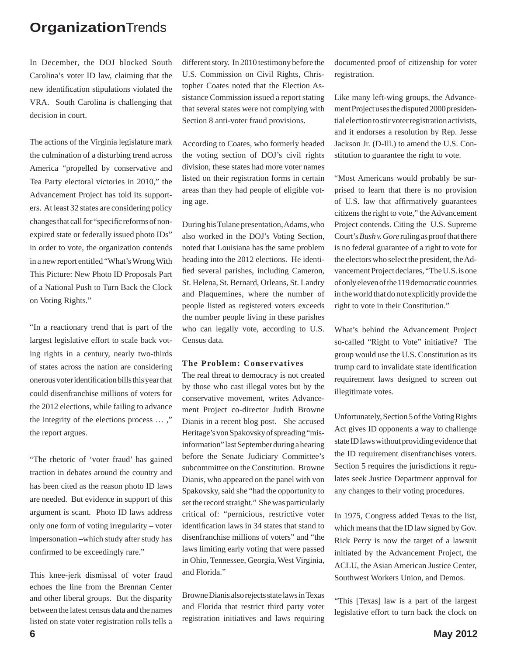In December, the DOJ blocked South Carolina's voter ID law, claiming that the new identification stipulations violated the VRA. South Carolina is challenging that decision in court.

The actions of the Virginia legislature mark the culmination of a disturbing trend across America "propelled by conservative and Tea Party electoral victories in 2010," the Advancement Project has told its supporters. At least 32 states are considering policy changes that call for "specific reforms of nonexpired state or federally issued photo IDs" in order to vote, the organization contends in a new report entitled "What's Wrong With This Picture: New Photo ID Proposals Part of a National Push to Turn Back the Clock on Voting Rights."

"In a reactionary trend that is part of the largest legislative effort to scale back voting rights in a century, nearly two-thirds of states across the nation are considering onerous voter identification bills this year that could disenfranchise millions of voters for the 2012 elections, while failing to advance the integrity of the elections process … ," the report argues.

"The rhetoric of 'voter fraud' has gained traction in debates around the country and has been cited as the reason photo ID laws are needed. But evidence in support of this argument is scant. Photo ID laws address only one form of voting irregularity – voter impersonation –which study after study has confirmed to be exceedingly rare."

This knee-jerk dismissal of voter fraud echoes the line from the Brennan Center and other liberal groups. But the disparity between the latest census data and the names listed on state voter registration rolls tells a

different story. In 2010 testimony before the U.S. Commission on Civil Rights, Christopher Coates noted that the Election Assistance Commission issued a report stating that several states were not complying with Section 8 anti-voter fraud provisions.

According to Coates, who formerly headed the voting section of DOJ's civil rights division, these states had more voter names listed on their registration forms in certain areas than they had people of eligible voting age.

During his Tulane presentation, Adams, who also worked in the DOJ's Voting Section, noted that Louisiana has the same problem heading into the 2012 elections. He identified several parishes, including Cameron, St. Helena, St. Bernard, Orleans, St. Landry and Plaquemines, where the number of people listed as registered voters exceeds the number people living in these parishes who can legally vote, according to U.S. Census data.

#### **The Problem: Conservatives**

The real threat to democracy is not created by those who cast illegal votes but by the conservative movement, writes Advancement Project co-director Judith Browne Dianis in a recent blog post. She accused Heritage's von Spakovsky of spreading "misinformation" last September during a hearing before the Senate Judiciary Committee's subcommittee on the Constitution. Browne Dianis, who appeared on the panel with von Spakovsky, said she "had the opportunity to set the record straight." She was particularly critical of: "pernicious, restrictive voter identification laws in 34 states that stand to disenfranchise millions of voters" and "the laws limiting early voting that were passed in Ohio, Tennessee, Georgia, West Virginia, and Florida."

Browne Dianis also rejects state laws in Texas and Florida that restrict third party voter registration initiatives and laws requiring documented proof of citizenship for voter registration.

Like many left-wing groups, the Advancement Project uses the disputed 2000 presidential election to stir voter registration activists, and it endorses a resolution by Rep. Jesse Jackson Jr. (D-Ill.) to amend the U.S. Constitution to guarantee the right to vote.

"Most Americans would probably be surprised to learn that there is no provision of U.S. law that affirmatively guarantees citizens the right to vote," the Advancement Project contends. Citing the U.S. Supreme Court's *Bush v. Gore* ruling as proof that there is no federal guarantee of a right to vote for the electors who select the president, the Advancement Project declares, "The U.S. is one of only eleven of the 119 democratic countries in the world that do not explicitly provide the right to vote in their Constitution."

What's behind the Advancement Project so-called "Right to Vote" initiative? The group would use the U.S. Constitution as its trump card to invalidate state identification requirement laws designed to screen out illegitimate votes.

Unfortunately, Section 5 of the Voting Rights Act gives ID opponents a way to challenge state ID laws without providing evidence that the ID requirement disenfranchises voters. Section 5 requires the jurisdictions it regulates seek Justice Department approval for any changes to their voting procedures.

In 1975, Congress added Texas to the list, which means that the ID law signed by Gov. Rick Perry is now the target of a lawsuit initiated by the Advancement Project, the ACLU, the Asian American Justice Center, Southwest Workers Union, and Demos.

"This [Texas] law is a part of the largest legislative effort to turn back the clock on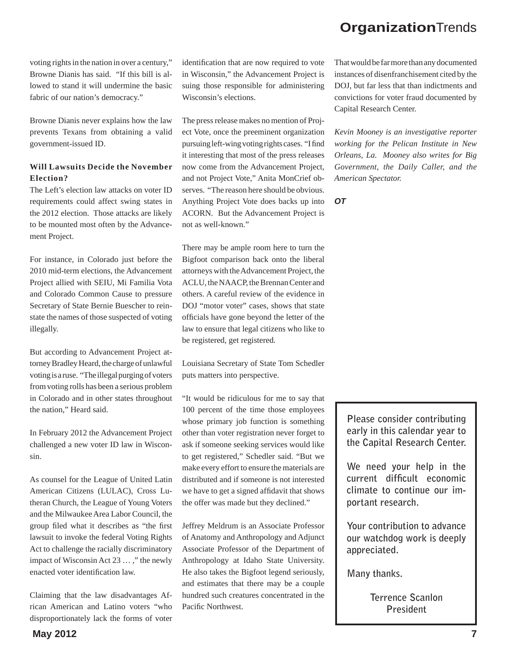voting rights in the nation in over a century," Browne Dianis has said. "If this bill is allowed to stand it will undermine the basic fabric of our nation's democracy."

Browne Dianis never explains how the law prevents Texans from obtaining a valid government-issued ID.

## **Will Lawsuits Decide the November Election?**

The Left's election law attacks on voter ID requirements could affect swing states in the 2012 election. Those attacks are likely to be mounted most often by the Advancement Project.

For instance, in Colorado just before the 2010 mid-term elections, the Advancement Project allied with SEIU, Mi Familia Vota and Colorado Common Cause to pressure Secretary of State Bernie Buescher to reinstate the names of those suspected of voting illegally.

But according to Advancement Project attorney Bradley Heard, the charge of unlawful voting is a ruse. "The illegal purging of voters from voting rolls has been a serious problem in Colorado and in other states throughout the nation," Heard said.

In February 2012 the Advancement Project challenged a new voter ID law in Wisconsin.

As counsel for the League of United Latin American Citizens (LULAC), Cross Lutheran Church, the League of Young Voters and the Milwaukee Area Labor Council, the group filed what it describes as "the first" lawsuit to invoke the federal Voting Rights Act to challenge the racially discriminatory impact of Wisconsin Act 23 … ," the newly enacted voter identification law.

Claiming that the law disadvantages African American and Latino voters "who disproportionately lack the forms of voter

identification that are now required to vote in Wisconsin," the Advancement Project is suing those responsible for administering Wisconsin's elections.

The press release makes no mention of Project Vote, once the preeminent organization pursuing left-wing voting rights cases. "I find it interesting that most of the press releases now come from the Advancement Project, and not Project Vote," Anita MonCrief observes. "The reason here should be obvious. Anything Project Vote does backs up into ACORN. But the Advancement Project is not as well-known."

There may be ample room here to turn the Bigfoot comparison back onto the liberal attorneys with the Advancement Project, the ACLU, the NAACP, the Brennan Center and others. A careful review of the evidence in DOJ "motor voter" cases, shows that state officials have gone beyond the letter of the law to ensure that legal citizens who like to be registered, get registered.

Louisiana Secretary of State Tom Schedler puts matters into perspective.

"It would be ridiculous for me to say that 100 percent of the time those employees whose primary job function is something other than voter registration never forget to ask if someone seeking services would like to get registered," Schedler said. "But we make every effort to ensure the materials are distributed and if someone is not interested we have to get a signed affidavit that shows the offer was made but they declined."

Jeffrey Meldrum is an Associate Professor of Anatomy and Anthropology and Adjunct Associate Professor of the Department of Anthropology at Idaho State University. He also takes the Bigfoot legend seriously, and estimates that there may be a couple hundred such creatures concentrated in the Pacific Northwest.

That would be far more than any documented instances of disenfranchisement cited by the DOJ, but far less that than indictments and convictions for voter fraud documented by Capital Research Center.

*Kevin Mooney is an investigative reporter working for the Pelican Institute in New Orleans, La. Mooney also writes for Big Government, the Daily Caller, and the American Spectator.*

*OT*

**Please consider contributing early in this calendar year to the Capital Research Center.**

**We need your help in the**  current difficult economic **climate to continue our important research.** 

**Your contribution to advance our watchdog work is deeply appreciated.** 

**Many thanks.** 

**Terrence Scanlon President**